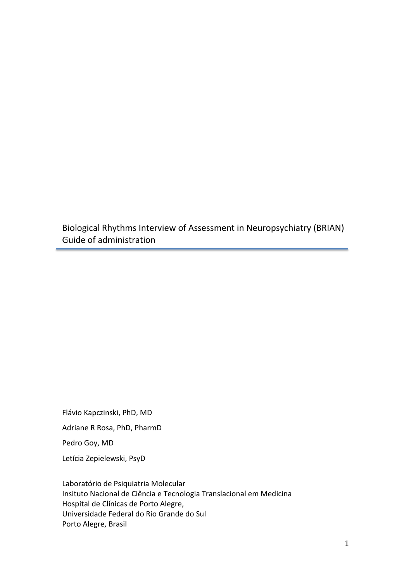Biological Rhythms Interview of Assessment in Neuropsychiatry (BRIAN) Guide of administration

Flávio Kapczinski, PhD, MD Adriane R Rosa, PhD, PharmD Pedro Goy, MD Letícia Zepielewski, PsyD

Laboratório de Psiquiatria Molecular Insituto Nacional de Ciência e Tecnologia Translacional em Medicina Hospital de Clínicas de Porto Alegre, Universidade Federal do Rio Grande do Sul Porto Alegre, Brasil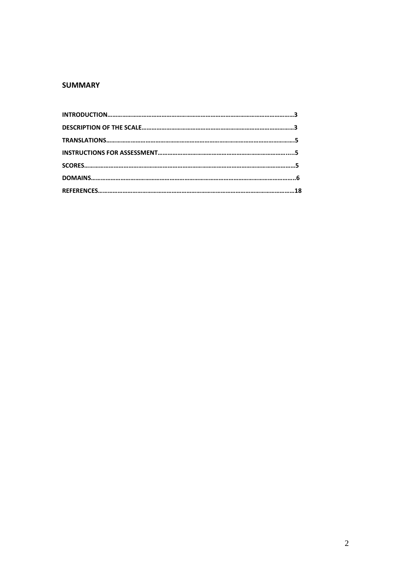## **SUMMARY**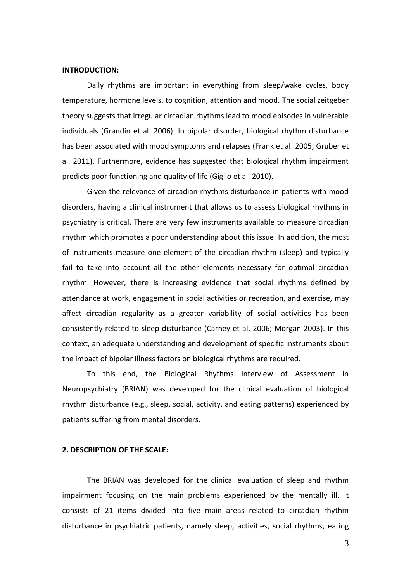#### **INTRODUCTION:**

Daily rhythms are important in everything from sleep/wake cycles, body temperature, hormone levels, to cognition, attention and mood. The social zeitgeber theory suggests that irregular circadian rhythms lead to mood episodes in vulnerable individuals (Grandin et al. 2006). In bipolar disorder, biological rhythm disturbance has been associated with mood symptoms and relapses (Frank et al. 2005; Gruber et al. 2011). Furthermore, evidence has suggested that biological rhythm impairment predicts poor functioning and quality of life (Giglio et al. 2010).

Given the relevance of circadian rhythms disturbance in patients with mood disorders, having a clinical instrument that allows us to assess biological rhythms in psychiatry is critical. There are very few instruments available to measure circadian rhythm which promotes a poor understanding about this issue. In addition, the most of instruments measure one element of the circadian rhythm (sleep) and typically fail to take into account all the other elements necessary for optimal circadian rhythm. However, there is increasing evidence that social rhythms defined by attendance at work, engagement in social activities or recreation, and exercise, may affect circadian regularity as a greater variability of social activities has been consistently related to sleep disturbance (Carney et al. 2006; Morgan 2003). In this context, an adequate understanding and development of specific instruments about the impact of bipolar illness factors on biological rhythms are required.

To this end, the Biological Rhythms Interview of Assessment in Neuropsychiatry (BRIAN) was developed for the clinical evaluation of biological rhythm disturbance (e.g., sleep, social, activity, and eating patterns) experienced by patients suffering from mental disorders.

### **2. DESCRIPTION OF THE SCALE:**

The BRIAN was developed for the clinical evaluation of sleep and rhythm impairment focusing on the main problems experienced by the mentally ill. It consists of 21 items divided into five main areas related to circadian rhythm disturbance in psychiatric patients, namely sleep, activities, social rhythms, eating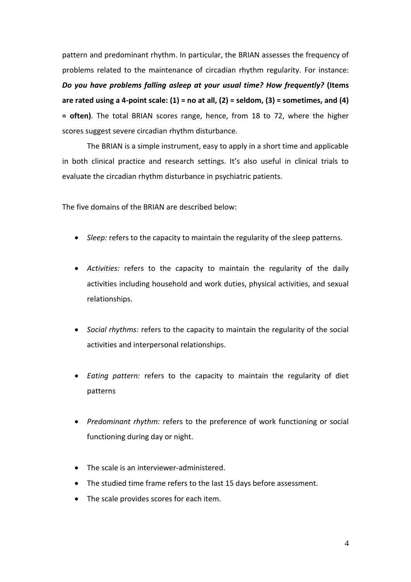pattern and predominant rhythm. In particular, the BRIAN assesses the frequency of problems related to the maintenance of circadian rhythm regularity. For instance: *Do you have problems falling asleep at your usual time? How frequently?* **(Items are rated using a 4-point scale: (1) = no at all, (2) = seldom, (3) = sometimes, and (4) = often)**. The total BRIAN scores range, hence, from 18 to 72, where the higher scores suggest severe circadian rhythm disturbance.

The BRIAN is a simple instrument, easy to apply in a short time and applicable in both clinical practice and research settings. It's also useful in clinical trials to evaluate the circadian rhythm disturbance in psychiatric patients.

The five domains of the BRIAN are described below:

- *Sleep:* refers to the capacity to maintain the regularity of the sleep patterns.
- *Activities:* refers to the capacity to maintain the regularity of the daily activities including household and work duties, physical activities, and sexual relationships.
- *Social rhythms:* refers to the capacity to maintain the regularity of the social activities and interpersonal relationships.
- *Eating pattern:* refers to the capacity to maintain the regularity of diet patterns
- *Predominant rhythm:* refers to the preference of work functioning or social functioning during day or night.
- The scale is an interviewer-administered.
- The studied time frame refers to the last 15 days before assessment.
- The scale provides scores for each item.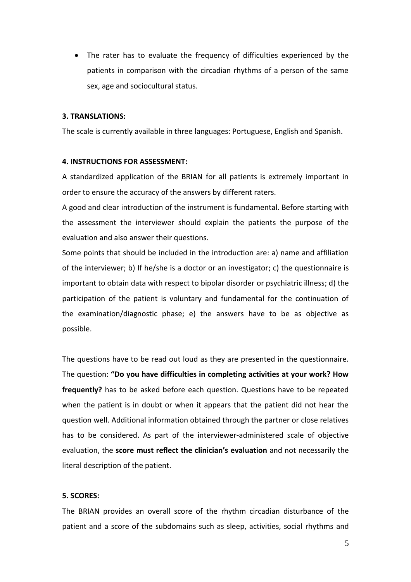The rater has to evaluate the frequency of difficulties experienced by the patients in comparison with the circadian rhythms of a person of the same sex, age and sociocultural status.

### **3. TRANSLATIONS:**

The scale is currently available in three languages: Portuguese, English and Spanish.

### **4. INSTRUCTIONS FOR ASSESSMENT:**

A standardized application of the BRIAN for all patients is extremely important in order to ensure the accuracy of the answers by different raters.

A good and clear introduction of the instrument is fundamental. Before starting with the assessment the interviewer should explain the patients the purpose of the evaluation and also answer their questions.

Some points that should be included in the introduction are: a) name and affiliation of the interviewer; b) If he/she is a doctor or an investigator; c) the questionnaire is important to obtain data with respect to bipolar disorder or psychiatric illness; d) the participation of the patient is voluntary and fundamental for the continuation of the examination/diagnostic phase; e) the answers have to be as objective as possible.

The questions have to be read out loud as they are presented in the questionnaire. The question: **"Do you have difficulties in completing activities at your work? How frequently?** has to be asked before each question. Questions have to be repeated when the patient is in doubt or when it appears that the patient did not hear the question well. Additional information obtained through the partner or close relatives has to be considered. As part of the interviewer-administered scale of objective evaluation, the **score must reflect the clinician's evaluation** and not necessarily the literal description of the patient.

## **5. SCORES:**

The BRIAN provides an overall score of the rhythm circadian disturbance of the patient and a score of the subdomains such as sleep, activities, social rhythms and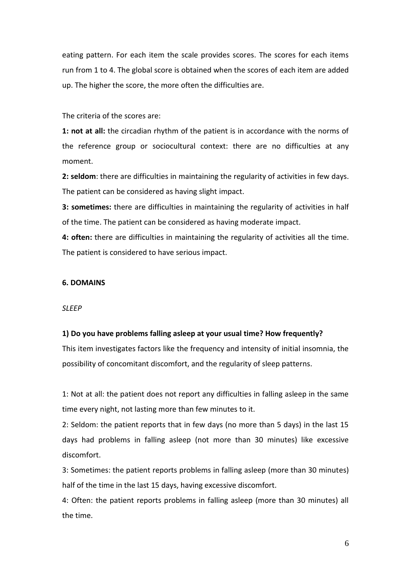eating pattern. For each item the scale provides scores. The scores for each items run from 1 to 4. The global score is obtained when the scores of each item are added up. The higher the score, the more often the difficulties are.

The criteria of the scores are:

**1: not at all:** the circadian rhythm of the patient is in accordance with the norms of the reference group or sociocultural context: there are no difficulties at any moment.

**2: seldom**: there are difficulties in maintaining the regularity of activities in few days. The patient can be considered as having slight impact.

**3: sometimes:** there are difficulties in maintaining the regularity of activities in half of the time. The patient can be considered as having moderate impact.

**4: often:** there are difficulties in maintaining the regularity of activities all the time. The patient is considered to have serious impact.

## **6. DOMAINS**

*SLEEP*

### **1) Do you have problems falling asleep at your usual time? How frequently?**

This item investigates factors like the frequency and intensity of initial insomnia, the possibility of concomitant discomfort, and the regularity of sleep patterns.

1: Not at all: the patient does not report any difficulties in falling asleep in the same time every night, not lasting more than few minutes to it.

2: Seldom: the patient reports that in few days (no more than 5 days) in the last 15 days had problems in falling asleep (not more than 30 minutes) like excessive discomfort.

3: Sometimes: the patient reports problems in falling asleep (more than 30 minutes) half of the time in the last 15 days, having excessive discomfort.

4: Often: the patient reports problems in falling asleep (more than 30 minutes) all the time.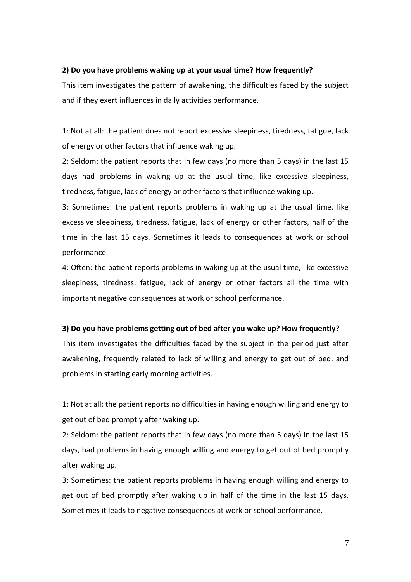### **2) Do you have problems waking up at your usual time? How frequently?**

This item investigates the pattern of awakening, the difficulties faced by the subject and if they exert influences in daily activities performance.

1: Not at all: the patient does not report excessive sleepiness, tiredness, fatigue, lack of energy or other factors that influence waking up.

2: Seldom: the patient reports that in few days (no more than 5 days) in the last 15 days had problems in waking up at the usual time, like excessive sleepiness, tiredness, fatigue, lack of energy or other factors that influence waking up.

3: Sometimes: the patient reports problems in waking up at the usual time, like excessive sleepiness, tiredness, fatigue, lack of energy or other factors, half of the time in the last 15 days. Sometimes it leads to consequences at work or school performance.

4: Often: the patient reports problems in waking up at the usual time, like excessive sleepiness, tiredness, fatigue, lack of energy or other factors all the time with important negative consequences at work or school performance.

### **3) Do you have problems getting out of bed after you wake up? How frequently?**

This item investigates the difficulties faced by the subject in the period just after awakening, frequently related to lack of willing and energy to get out of bed, and problems in starting early morning activities.

1: Not at all: the patient reports no difficulties in having enough willing and energy to get out of bed promptly after waking up.

2: Seldom: the patient reports that in few days (no more than 5 days) in the last 15 days, had problems in having enough willing and energy to get out of bed promptly after waking up.

3: Sometimes: the patient reports problems in having enough willing and energy to get out of bed promptly after waking up in half of the time in the last 15 days. Sometimes it leads to negative consequences at work or school performance.

7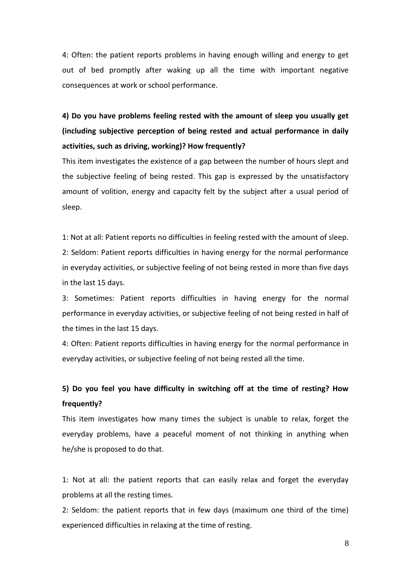4: Often: the patient reports problems in having enough willing and energy to get out of bed promptly after waking up all the time with important negative consequences at work or school performance.

**4) Do you have problems feeling rested with the amount of sleep you usually get (including subjective perception of being rested and actual performance in daily activities, such as driving, working)? How frequently?**

This item investigates the existence of a gap between the number of hours slept and the subjective feeling of being rested. This gap is expressed by the unsatisfactory amount of volition, energy and capacity felt by the subject after a usual period of sleep.

1: Not at all: Patient reports no difficulties in feeling rested with the amount of sleep. 2: Seldom: Patient reports difficulties in having energy for the normal performance in everyday activities, or subjective feeling of not being rested in more than five days in the last 15 days.

3: Sometimes: Patient reports difficulties in having energy for the normal performance in everyday activities, or subjective feeling of not being rested in half of the times in the last 15 days.

4: Often: Patient reports difficulties in having energy for the normal performance in everyday activities, or subjective feeling of not being rested all the time.

# **5) Do you feel you have difficulty in switching off at the time of resting? How frequently?**

This item investigates how many times the subject is unable to relax, forget the everyday problems, have a peaceful moment of not thinking in anything when he/she is proposed to do that.

1: Not at all: the patient reports that can easily relax and forget the everyday problems at all the resting times.

2: Seldom: the patient reports that in few days (maximum one third of the time) experienced difficulties in relaxing at the time of resting.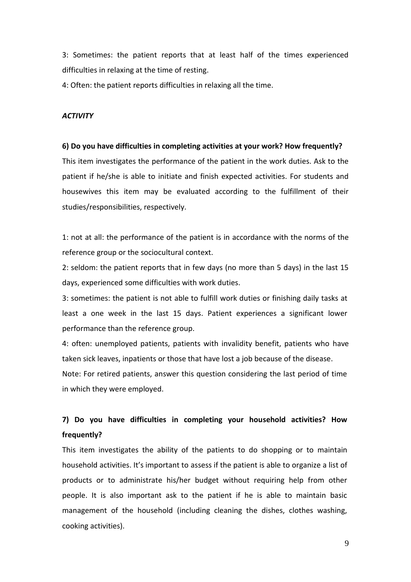3: Sometimes: the patient reports that at least half of the times experienced difficulties in relaxing at the time of resting.

4: Often: the patient reports difficulties in relaxing all the time.

### *ACTIVITY*

#### **6) Do you have difficulties in completing activities at your work? How frequently?**

This item investigates the performance of the patient in the work duties. Ask to the patient if he/she is able to initiate and finish expected activities. For students and housewives this item may be evaluated according to the fulfillment of their studies/responsibilities, respectively.

1: not at all: the performance of the patient is in accordance with the norms of the reference group or the sociocultural context.

2: seldom: the patient reports that in few days (no more than 5 days) in the last 15 days, experienced some difficulties with work duties.

3: sometimes: the patient is not able to fulfill work duties or finishing daily tasks at least a one week in the last 15 days. Patient experiences a significant lower performance than the reference group.

4: often: unemployed patients, patients with invalidity benefit, patients who have taken sick leaves, inpatients or those that have lost a job because of the disease.

Note: For retired patients, answer this question considering the last period of time in which they were employed.

# **7) Do you have difficulties in completing your household activities? How frequently?**

This item investigates the ability of the patients to do shopping or to maintain household activities. It's important to assess if the patient is able to organize a list of products or to administrate his/her budget without requiring help from other people. It is also important ask to the patient if he is able to maintain basic management of the household (including cleaning the dishes, clothes washing, cooking activities).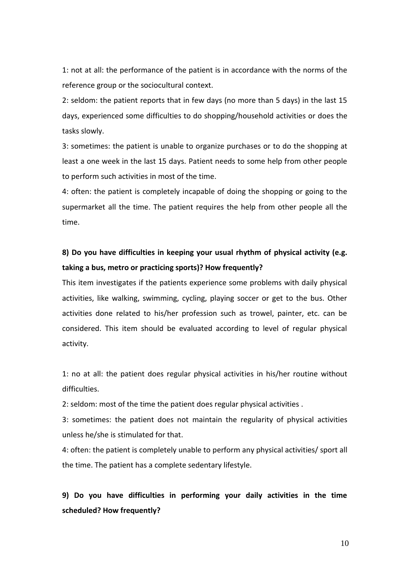1: not at all: the performance of the patient is in accordance with the norms of the reference group or the sociocultural context.

2: seldom: the patient reports that in few days (no more than 5 days) in the last 15 days, experienced some difficulties to do shopping/household activities or does the tasks slowly.

3: sometimes: the patient is unable to organize purchases or to do the shopping at least a one week in the last 15 days. Patient needs to some help from other people to perform such activities in most of the time.

4: often: the patient is completely incapable of doing the shopping or going to the supermarket all the time. The patient requires the help from other people all the time.

## **8) Do you have difficulties in keeping your usual rhythm of physical activity (e.g. taking a bus, metro or practicing sports)? How frequently?**

This item investigates if the patients experience some problems with daily physical activities, like walking, swimming, cycling, playing soccer or get to the bus. Other activities done related to his/her profession such as trowel, painter, etc. can be considered. This item should be evaluated according to level of regular physical activity.

1: no at all: the patient does regular physical activities in his/her routine without difficulties.

2: seldom: most of the time the patient does regular physical activities .

3: sometimes: the patient does not maintain the regularity of physical activities unless he/she is stimulated for that.

4: often: the patient is completely unable to perform any physical activities/ sport all the time. The patient has a complete sedentary lifestyle.

**9) Do you have difficulties in performing your daily activities in the time scheduled? How frequently?**

10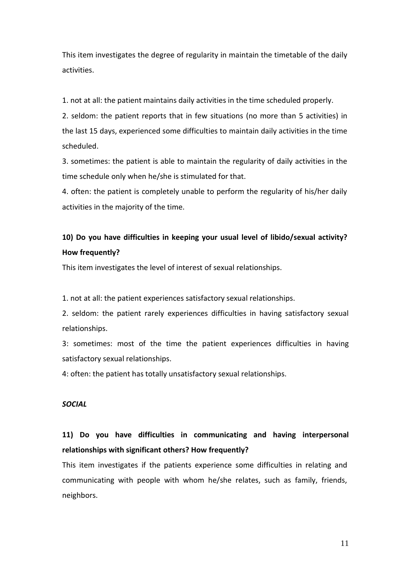This item investigates the degree of regularity in maintain the timetable of the daily activities.

1. not at all: the patient maintains daily activities in the time scheduled properly.

2. seldom: the patient reports that in few situations (no more than 5 activities) in the last 15 days, experienced some difficulties to maintain daily activities in the time scheduled.

3. sometimes: the patient is able to maintain the regularity of daily activities in the time schedule only when he/she is stimulated for that.

4. often: the patient is completely unable to perform the regularity of his/her daily activities in the majority of the time.

## **10) Do you have difficulties in keeping your usual level of libido/sexual activity? How frequently?**

This item investigates the level of interest of sexual relationships.

1. not at all: the patient experiences satisfactory sexual relationships.

2. seldom: the patient rarely experiences difficulties in having satisfactory sexual relationships.

3: sometimes: most of the time the patient experiences difficulties in having satisfactory sexual relationships.

4: often: the patient has totally unsatisfactory sexual relationships.

## *SOCIAL*

# **11) Do you have difficulties in communicating and having interpersonal relationships with significant others? How frequently?**

This item investigates if the patients experience some difficulties in relating and communicating with people with whom he/she relates, such as family, friends, neighbors.

11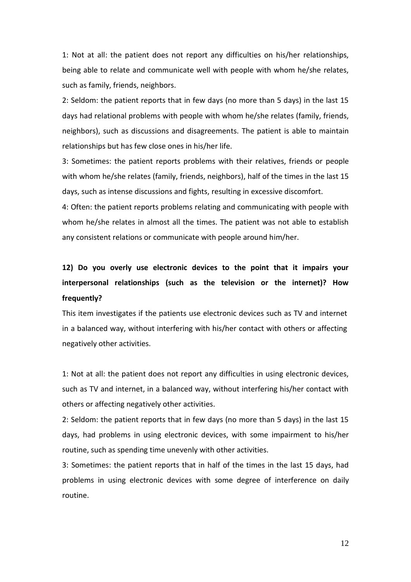1: Not at all: the patient does not report any difficulties on his/her relationships, being able to relate and communicate well with people with whom he/she relates, such as family, friends, neighbors.

2: Seldom: the patient reports that in few days (no more than 5 days) in the last 15 days had relational problems with people with whom he/she relates (family, friends, neighbors), such as discussions and disagreements. The patient is able to maintain relationships but has few close ones in his/her life.

3: Sometimes: the patient reports problems with their relatives, friends or people with whom he/she relates (family, friends, neighbors), half of the times in the last 15 days, such as intense discussions and fights, resulting in excessive discomfort.

4: Often: the patient reports problems relating and communicating with people with whom he/she relates in almost all the times. The patient was not able to establish any consistent relations or communicate with people around him/her.

# **12) Do you overly use electronic devices to the point that it impairs your interpersonal relationships (such as the television or the internet)? How frequently?**

This item investigates if the patients use electronic devices such as TV and internet in a balanced way, without interfering with his/her contact with others or affecting negatively other activities.

1: Not at all: the patient does not report any difficulties in using electronic devices, such as TV and internet, in a balanced way, without interfering his/her contact with others or affecting negatively other activities.

2: Seldom: the patient reports that in few days (no more than 5 days) in the last 15 days, had problems in using electronic devices, with some impairment to his/her routine, such as spending time unevenly with other activities.

3: Sometimes: the patient reports that in half of the times in the last 15 days, had problems in using electronic devices with some degree of interference on daily routine.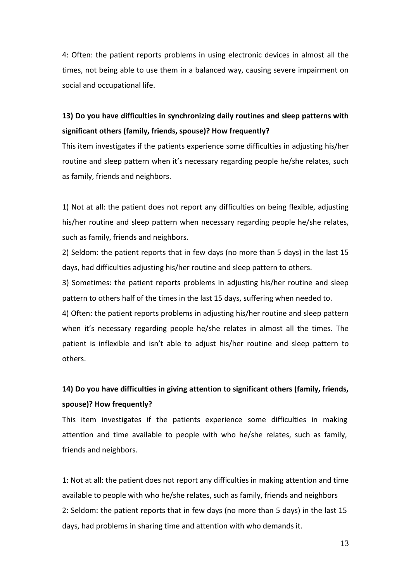4: Often: the patient reports problems in using electronic devices in almost all the times, not being able to use them in a balanced way, causing severe impairment on social and occupational life.

# **13) Do you have difficulties in synchronizing daily routines and sleep patterns with significant others (family, friends, spouse)? How frequently?**

This item investigates if the patients experience some difficulties in adjusting his/her routine and sleep pattern when it's necessary regarding people he/she relates, such as family, friends and neighbors.

1) Not at all: the patient does not report any difficulties on being flexible, adjusting his/her routine and sleep pattern when necessary regarding people he/she relates, such as family, friends and neighbors.

2) Seldom: the patient reports that in few days (no more than 5 days) in the last 15 days, had difficulties adjusting his/her routine and sleep pattern to others.

3) Sometimes: the patient reports problems in adjusting his/her routine and sleep pattern to others half of the times in the last 15 days, suffering when needed to.

4) Often: the patient reports problems in adjusting his/her routine and sleep pattern when it's necessary regarding people he/she relates in almost all the times. The patient is inflexible and isn't able to adjust his/her routine and sleep pattern to others.

# **14) Do you have difficulties in giving attention to significant others (family, friends, spouse)? How frequently?**

This item investigates if the patients experience some difficulties in making attention and time available to people with who he/she relates, such as family, friends and neighbors.

1: Not at all: the patient does not report any difficulties in making attention and time available to people with who he/she relates, such as family, friends and neighbors 2: Seldom: the patient reports that in few days (no more than 5 days) in the last 15 days, had problems in sharing time and attention with who demands it.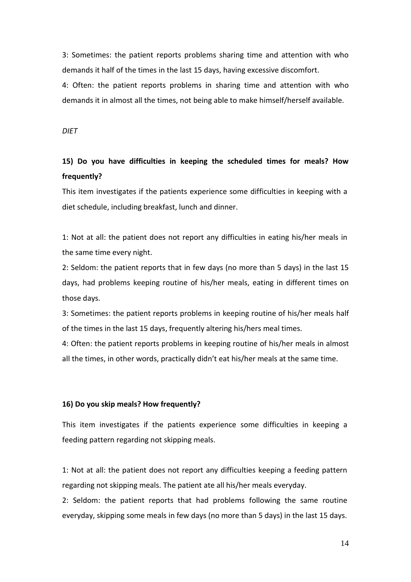3: Sometimes: the patient reports problems sharing time and attention with who demands it half of the times in the last 15 days, having excessive discomfort.

4: Often: the patient reports problems in sharing time and attention with who demands it in almost all the times, not being able to make himself/herself available.

*DIET*

# **15) Do you have difficulties in keeping the scheduled times for meals? How frequently?**

This item investigates if the patients experience some difficulties in keeping with a diet schedule, including breakfast, lunch and dinner.

1: Not at all: the patient does not report any difficulties in eating his/her meals in the same time every night.

2: Seldom: the patient reports that in few days (no more than 5 days) in the last 15 days, had problems keeping routine of his/her meals, eating in different times on those days.

3: Sometimes: the patient reports problems in keeping routine of his/her meals half of the times in the last 15 days, frequently altering his/hers meal times.

4: Often: the patient reports problems in keeping routine of his/her meals in almost all the times, in other words, practically didn't eat his/her meals at the same time.

## **16) Do you skip meals? How frequently?**

This item investigates if the patients experience some difficulties in keeping a feeding pattern regarding not skipping meals.

1: Not at all: the patient does not report any difficulties keeping a feeding pattern regarding not skipping meals. The patient ate all his/her meals everyday.

2: Seldom: the patient reports that had problems following the same routine everyday, skipping some meals in few days (no more than 5 days) in the last 15 days.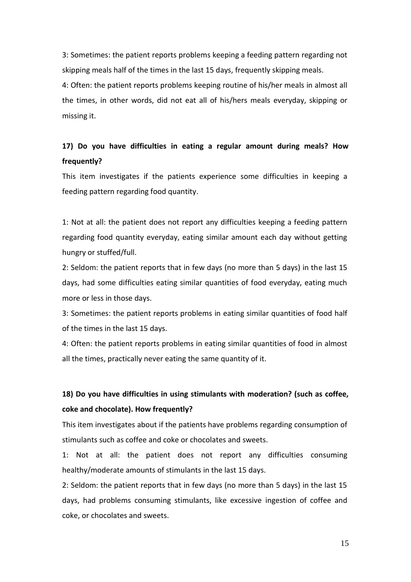3: Sometimes: the patient reports problems keeping a feeding pattern regarding not skipping meals half of the times in the last 15 days, frequently skipping meals.

4: Often: the patient reports problems keeping routine of his/her meals in almost all the times, in other words, did not eat all of his/hers meals everyday, skipping or missing it.

# **17) Do you have difficulties in eating a regular amount during meals? How frequently?**

This item investigates if the patients experience some difficulties in keeping a feeding pattern regarding food quantity.

1: Not at all: the patient does not report any difficulties keeping a feeding pattern regarding food quantity everyday, eating similar amount each day without getting hungry or stuffed/full.

2: Seldom: the patient reports that in few days (no more than 5 days) in the last 15 days, had some difficulties eating similar quantities of food everyday, eating much more or less in those days.

3: Sometimes: the patient reports problems in eating similar quantities of food half of the times in the last 15 days.

4: Often: the patient reports problems in eating similar quantities of food in almost all the times, practically never eating the same quantity of it.

# **18) Do you have difficulties in using stimulants with moderation? (such as coffee, coke and chocolate). How frequently?**

This item investigates about if the patients have problems regarding consumption of stimulants such as coffee and coke or chocolates and sweets.

1: Not at all: the patient does not report any difficulties consuming healthy/moderate amounts of stimulants in the last 15 days.

2: Seldom: the patient reports that in few days (no more than 5 days) in the last 15 days, had problems consuming stimulants, like excessive ingestion of coffee and coke, or chocolates and sweets.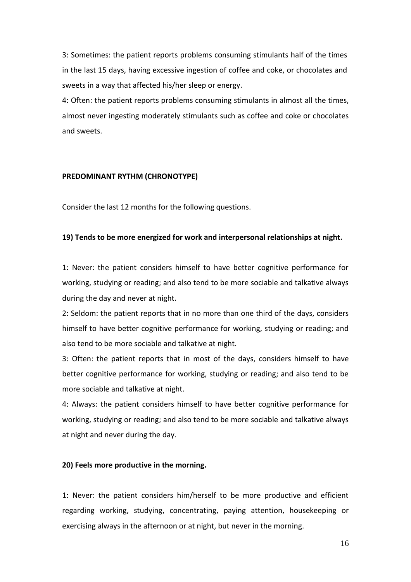3: Sometimes: the patient reports problems consuming stimulants half of the times in the last 15 days, having excessive ingestion of coffee and coke, or chocolates and sweets in a way that affected his/her sleep or energy.

4: Often: the patient reports problems consuming stimulants in almost all the times, almost never ingesting moderately stimulants such as coffee and coke or chocolates and sweets.

### **PREDOMINANT RYTHM (CHRONOTYPE)**

Consider the last 12 months for the following questions.

### **19) Tends to be more energized for work and interpersonal relationships at night.**

1: Never: the patient considers himself to have better cognitive performance for working, studying or reading; and also tend to be more sociable and talkative always during the day and never at night.

2: Seldom: the patient reports that in no more than one third of the days, considers himself to have better cognitive performance for working, studying or reading; and also tend to be more sociable and talkative at night.

3: Often: the patient reports that in most of the days, considers himself to have better cognitive performance for working, studying or reading; and also tend to be more sociable and talkative at night.

4: Always: the patient considers himself to have better cognitive performance for working, studying or reading; and also tend to be more sociable and talkative always at night and never during the day.

### **20) Feels more productive in the morning.**

1: Never: the patient considers him/herself to be more productive and efficient regarding working, studying, concentrating, paying attention, housekeeping or exercising always in the afternoon or at night, but never in the morning.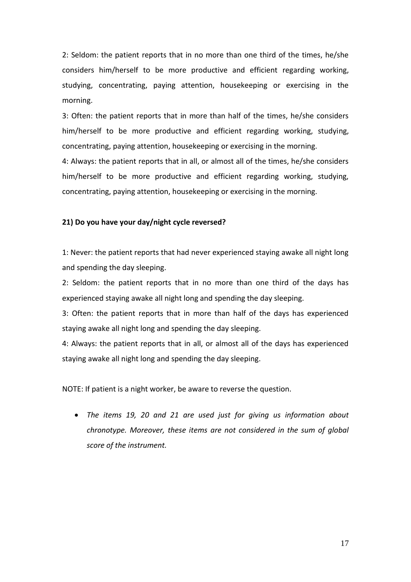2: Seldom: the patient reports that in no more than one third of the times, he/she considers him/herself to be more productive and efficient regarding working, studying, concentrating, paying attention, housekeeping or exercising in the morning.

3: Often: the patient reports that in more than half of the times, he/she considers him/herself to be more productive and efficient regarding working, studying, concentrating, paying attention, housekeeping or exercising in the morning.

4: Always: the patient reports that in all, or almost all of the times, he/she considers him/herself to be more productive and efficient regarding working, studying, concentrating, paying attention, housekeeping or exercising in the morning.

## **21) Do you have your day/night cycle reversed?**

1: Never: the patient reports that had never experienced staying awake all night long and spending the day sleeping.

2: Seldom: the patient reports that in no more than one third of the days has experienced staying awake all night long and spending the day sleeping.

3: Often: the patient reports that in more than half of the days has experienced staying awake all night long and spending the day sleeping.

4: Always: the patient reports that in all, or almost all of the days has experienced staying awake all night long and spending the day sleeping.

NOTE: If patient is a night worker, be aware to reverse the question.

 *The items 19, 20 and 21 are used just for giving us information about chronotype. Moreover, these items are not considered in the sum of global score of the instrument.*